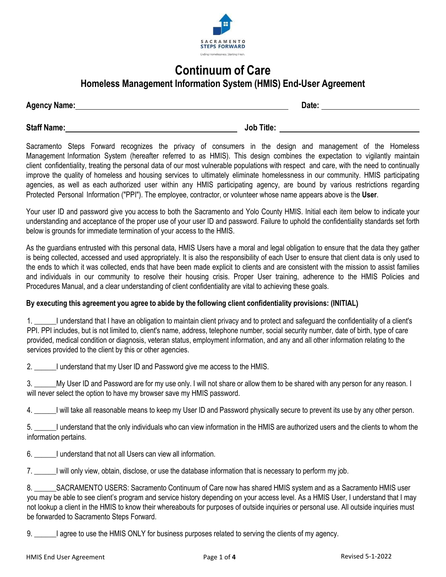

## **Continuum of Care Homeless Management Information System (HMIS) End-User Agreement**

| <b>Agency Name:</b> | Date: |
|---------------------|-------|
|                     |       |

**Staff Name: Job Title:** 

Sacramento Steps Forward recognizes the privacy of consumers in the design and management of the Homeless Management Information System (hereafter referred to as HMIS). This design combines the expectation to vigilantly maintain client confidentiality, treating the personal data of our most vulnerable populations with respect and care, with the need to continually improve the quality of homeless and housing services to ultimately eliminate homelessness in our community. HMIS participating agencies, as well as each authorized user within any HMIS participating agency, are bound by various restrictions regarding Protected Personal Information ("PPI"). The employee, contractor, or volunteer whose name appears above is the **User**.

Your user ID and password give you access to both the Sacramento and Yolo County HMIS. Initial each item below to indicate your understanding and acceptance of the proper use of your user ID and password. Failure to uphold the confidentiality standards set forth below is grounds for immediate termination of your access to the HMIS.

As the guardians entrusted with this personal data, HMIS Users have a moral and legal obligation to ensure that the data they gather is being collected, accessed and used appropriately. It is also the responsibility of each User to ensure that client data is only used to the ends to which it was collected, ends that have been made explicit to clients and are consistent with the mission to assist families and individuals in our community to resolve their housing crisis. Proper User training, adherence to the HMIS Policies and Procedures Manual, and a clear understanding of client confidentiality are vital to achieving these goals.

#### **By executing this agreement you agree to abide by the following client confidentiality provisions: (INITIAL**)

<sup>1</sup> understand that I have an obligation to maintain client privacy and to protect and safeguard the confidentiality of a client's PPI. PPI includes, but is not limited to, client's name, address, telephone number, social security number, date of birth, type of care provided, medical condition or diagnosis, veteran status, employment information, and any and all other information relating to the services provided to the client by this or other agencies.

2. \_\_\_\_\_\_I understand that my User ID and Password give me access to the HMIS.

3. Wy User ID and Password are for my use only. I will not share or allow them to be shared with any person for any reason. I will never select the option to have my browser save my HMIS password.

4. \_\_\_\_\_\_I will take all reasonable means to keep my User ID and Password physically secure to prevent its use by any other person.

5. \_\_\_\_\_\_I understand that the only individuals who can view information in the HMIS are authorized users and the clients to whom the information pertains.

6. I understand that not all Users can view all information.

7. \_\_\_\_\_\_I will only view, obtain, disclose, or use the database information that is necessary to perform my job.

8. \_\_\_\_\_\_SACRAMENTO USERS: Sacramento Continuum of Care now has shared HMIS system and as a Sacramento HMIS user you may be able to see client's program and service history depending on your access level. As a HMIS User, I understand that I may not lookup a client in the HMIS to know their whereabouts for purposes of outside inquiries or personal use. All outside inquiries must be forwarded to Sacramento Steps Forward.

9. \_\_\_\_\_\_I agree to use the HMIS ONLY for business purposes related to serving the clients of my agency.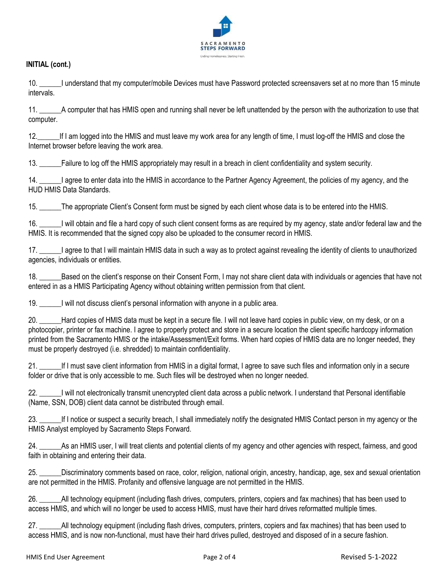

#### **INITIAL (cont.)**

10. \_\_\_\_\_\_I understand that my computer/mobile Devices must have Password protected screensavers set at no more than 15 minute intervals.

11. \_\_\_\_\_\_A computer that has HMIS open and running shall never be left unattended by the person with the authorization to use that computer.

12.\_\_\_\_\_\_If I am logged into the HMIS and must leave my work area for any length of time, I must log-off the HMIS and close the Internet browser before leaving the work area.

13. \_\_\_\_\_\_Failure to log off the HMIS appropriately may result in a breach in client confidentiality and system security.

14. \_\_\_\_\_\_I agree to enter data into the HMIS in accordance to the Partner Agency Agreement, the policies of my agency, and the HUD HMIS Data Standards.

15. \_\_\_\_\_\_The appropriate Client's Consent form must be signed by each client whose data is to be entered into the HMIS.

16. \_\_\_\_\_\_I will obtain and file a hard copy of such client consent forms as are required by my agency, state and/or federal law and the HMIS. It is recommended that the signed copy also be uploaded to the consumer record in HMIS.

17. \_\_\_\_\_\_I agree to that I will maintain HMIS data in such a way as to protect against revealing the identity of clients to unauthorized agencies, individuals or entities.

18. Based on the client's response on their Consent Form, I may not share client data with individuals or agencies that have not entered in as a HMIS Participating Agency without obtaining written permission from that client.

19. \_\_\_\_\_\_I will not discuss client's personal information with anyone in a public area.

20. \_\_\_\_\_Hard copies of HMIS data must be kept in a secure file. I will not leave hard copies in public view, on my desk, or on a photocopier, printer or fax machine. I agree to properly protect and store in a secure location the client specific hardcopy information printed from the Sacramento HMIS or the intake/Assessment/Exit forms. When hard copies of HMIS data are no longer needed, they must be properly destroyed (i.e. shredded) to maintain confidentiality.

21. \_\_\_\_\_\_If I must save client information from HMIS in a digital format, I agree to save such files and information only in a secure folder or drive that is only accessible to me. Such files will be destroyed when no longer needed.

22. \_\_\_\_\_\_I will not electronically transmit unencrypted client data across a public network. I understand that Personal identifiable (Name, SSN, DOB) client data cannot be distributed through email.

23. \_\_\_\_\_\_If I notice or suspect a security breach, I shall immediately notify the designated HMIS Contact person in my agency or the HMIS Analyst employed by Sacramento Steps Forward.

24. \_\_\_\_\_\_As an HMIS user, I will treat clients and potential clients of my agency and other agencies with respect, fairness, and good faith in obtaining and entering their data.

25. \_\_\_\_\_\_Discriminatory comments based on race, color, religion, national origin, ancestry, handicap, age, sex and sexual orientation are not permitted in the HMIS. Profanity and offensive language are not permitted in the HMIS.

26. \_\_\_\_\_\_All technology equipment (including flash drives, computers, printers, copiers and fax machines) that has been used to access HMIS, and which will no longer be used to access HMIS, must have their hard drives reformatted multiple times.

27. \_\_\_\_\_\_All technology equipment (including flash drives, computers, printers, copiers and fax machines) that has been used to access HMIS, and is now non-functional, must have their hard drives pulled, destroyed and disposed of in a secure fashion.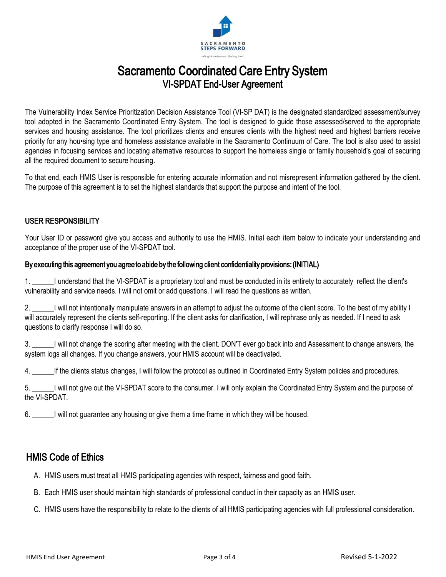

# Sacramento **C**oordinated Care Entry System VI-SPDAT End-User Agreement

The Vulnerability Index Service Prioritization Decision Assistance Tool (VI-SP DAT) is the designated standardized assessment/survey tool adopted in the Sacramento Coordinated Entry System. The tool is designed to guide those assessed/served to the appropriate services and housing assistance. The tool prioritizes clients and ensures clients with the highest need and highest barriers receive priority for any hou•sing type and homeless assistance available in the Sacramento Continuum of Care. The tool is also used to assist agencies in focusing services and locating alternative resources to support the homeless single or family household's goal of securing all the required document to secure housing.

To that end, each HMIS User is responsible for entering accurate information and not misrepresent information gathered by the client. The purpose of this agreement is to set the highest standards that support the purpose and intent of the tool.

### USER RESPONSIBILITY

Your User ID or password give you access and authority to use the HMIS. Initial each item below to indicate your understanding and acceptance of the proper use of the VI-SPDAT tool.

#### By executing this agreement you agree to abide by the following client confidentiality provisions: (INITIAL)

1. \_\_\_\_\_\_I understand that the VI-SPDAT is a proprietary tool and must be conducted in its entirety to accurately reflect the client's vulnerability and service needs. I will not omit or add questions. I will read the questions as written.

2. U will not intentionally manipulate answers in an attempt to adjust the outcome of the client score. To the best of my ability I will accurately represent the clients self-reporting. If the client asks for clarification, I will rephrase only as needed. If I need to ask questions to clarify response I will do so.

3. U will not change the scoring after meeting with the client. DON'T ever go back into and Assessment to change answers, the system logs all changes. If you change answers, your HMIS account will be deactivated.

4. \_\_\_\_\_\_If the clients status changes, I will follow the protocol as outlined in Coordinated Entry System policies and procedures.

5. \_\_\_\_\_\_I will not give out the VI-SPDAT score to the consumer. I will only explain the Coordinated Entry System and the purpose of the VI-SPDAT.

6. \_\_\_\_\_\_I will not guarantee any housing or give them a time frame in which they will be housed.

### HMIS Code of Ethics

- A. HMIS users must treat all HMIS participating agencies with respect, fairness and good faith.
- B. Each HMIS user should maintain high standards of professional conduct in their capacity as an HMIS user.
- C. HMIS users have the responsibility to relate to the clients of all HMIS participating agencies with full professional consideration.